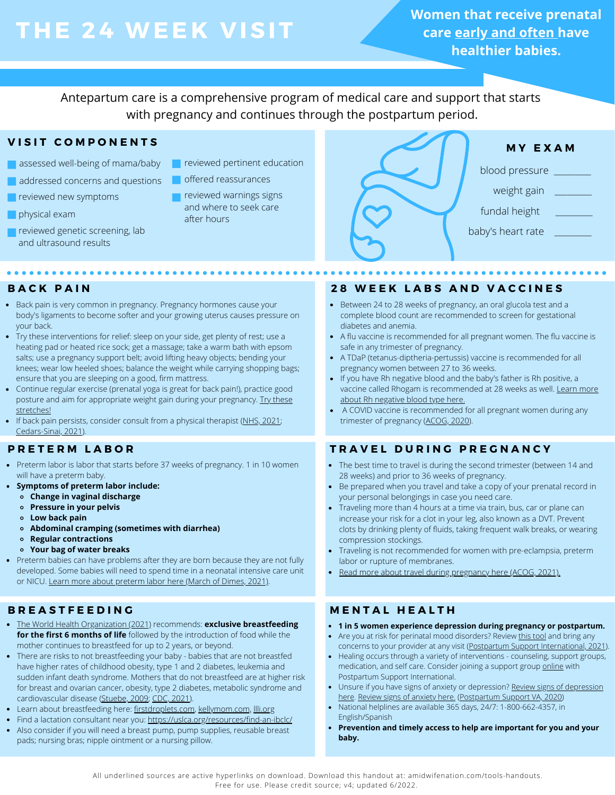# **THE 24 WEE K V ISIT**

**Women that receive prenatal care early and often have healthier babies.**

Antepartum care is a comprehensive program of medical care and support that starts with pregnancy and continues through the postpartum period.

# **V I S I T C O M P O N E N T S**

- assessed well-being of mama/baby
- addressed concerns and questions
- **reviewed new symptoms**
- **physical exam**
- **reviewed genetic screening, lab** and ultrasound results
- **T** reviewed pertinent education
- offered reassurances
	- reviewed warnings signs and where to seek care after hours



# $\frac{1}{2}$

- Back pain is very common in pregnancy. Pregnancy hormones cause your body's ligaments to become softer and your growing uterus causes pressure on your back.
- Try these interventions for relief: sleep on your side, get plenty of rest; use a heating pad or heated rice sock; get a massage; take a warm bath with epsom salts; use a pregnancy support belt; avoid lifting heavy objects; bending your knees; wear low heeled shoes; balance the weight while carrying shopping bags; ensure that you are sleeping on a good, firm mattress.
- Continue regular exercise (prenatal yoga is great for back pain!), practice good posture and aim for appropriate weight gain during your pregnancy. [Try these](http://www.midwife.org/ACNM/files/ccLibraryFiles/Filename/000000000624/Back%20Pain%20During%20Pregnancy.pdf) [stretches!](http://www.midwife.org/ACNM/files/ccLibraryFiles/Filename/000000000624/Back%20Pain%20During%20Pregnancy.pdf)
- If back pain persists, consider consult from a physical therapist ([NHS, 2021](https://www.nhs.uk/pregnancy/related-conditions/common-symptoms/back-pain/); [Cedars-Sinai, 2021](https://www.cedars-sinai.org/health-library/diseases-and-conditions/b/back-pain-during-pregnancy.html)).

# **P R E T E R M L A B O R**

- Preterm labor is labor that starts before 37 weeks of pregnancy. 1 in 10 women will have a preterm baby.
- **Symptoms of preterm labor include:**
	- **Change in vaginal discharge**
	- **Pressure in your pelvis**
	- **Low back pain**
	- **Abdominal cramping (sometimes with diarrhea)**
	- **Regular contractions**
	- **Your bag of water breaks**
- Preterm babies can have problems after they are born because they are not fully developed. Some babies will need to spend time in a neonatal intensive care unit or NICU. [Learn more about preterm labor here \(March of Dimes, 2021\)](https://www.marchofdimes.org/complications/preterm-labor-and-premature-baby.aspx).

- [The World Health Organization \(2021\)](https://www.who.int/health-topics/breastfeeding#tab=tab_2) recommends: **exclusive breastfeeding for the first 6 months of life** followed by the introduction of food while the mother continues to breastfeed for up to 2 years, or beyond.
- There are risks to not breastfeeding your baby babies that are not breastfed have higher rates of childhood obesity, type 1 and 2 diabetes, leukemia and sudden infant death syndrome. Mothers that do not breastfeed are at higher risk for breast and ovarian cancer, obesity, type 2 diabetes, metabolic syndrome and cardiovascular disease ([Stuebe, 2009;](https://www.ncbi.nlm.nih.gov/pmc/articles/PMC2812877/) [CDC, 2021\)](https://www.cdc.gov/nutrition/infantandtoddlernutrition/breastfeeding/recommendations-benefits.html).
- Learn about breastfeeding here: [firstdroplets.com,](https://firstdroplets.com/) [kellymom.com,](https://kellymom.com/) Illi.org
- Find a lactation consultant near you:<https://uslca.org/resources/find-an-ibclc/>
- Also consider if you will need a breast pump, pump supplies, reusable breast pads; nursing bras; nipple ointment or a nursing pillow.

# BACK PAIN NEWSTATE RESERVED AND VACCINES

- Between 24 to 28 weeks of pregnancy, an oral glucola test and a complete blood count are recommended to screen for gestational diabetes and anemia.
- A flu vaccine is recommended for all pregnant women. The flu vaccine is safe in any trimester of pregnancy.
- A TDaP (tetanus-diptheria-pertussis) vaccine is recommended for all pregnancy women between 27 to 36 weeks.
- If you have Rh negative blood and the baby's father is Rh positive, a [vaccine called Rhogam is recommended at 28 weeks as well. Learn more](https://onlinelibrary.wiley.com/doi/pdf/10.1111/jmwh.13086) about Rh negative blood type here.
- A COVID vaccine is recommended for all pregnant women during any trimester of pregnancy ([ACOG, 2020](https://www.acog.org/clinical/clinical-guidance/practice-advisory/articles/2020/12/covid-19-vaccination-considerations-for-obstetric-gynecologic-care)).

# **T R A V E L D U R I N G P R E G N A N C Y**

- The best time to travel is during the second trimester (between 14 and 28 weeks) and prior to 36 weeks of pregnancy.
- Be prepared when you travel and take a copy of your prenatal record in your personal belongings in case you need care.
- Traveling more than 4 hours at a time via train, bus, car or plane can increase your risk for a clot in your leg, also known as a DVT. Prevent clots by drinking plenty of fluids, taking frequent walk breaks, or wearing compression stockings.
- Traveling is not recommended for women with pre-eclampsia, preterm labor or rupture of membranes.
- [Read more about travel during pregnancy here \(ACOG, 2021\).](https://www.acog.org/womens-health/faqs/travel-during-pregnancy)

# **B R E A S T F E E D I N G M E N T A L H E A L T H**

- **1 in 5 women experience depression during pregnancy or postpartum.**
- Are you at risk for perinatal mood disorders? [Review this tool](https://www.postpartum.net/wp-content/uploads/2019/05/PSI-Perinatal-Mental-Health-Discusion-Tool.pdf) and bring any concerns to your provider at any visit ([Postpartum Support International, 2021](https://www.postpartum.net/wp-content/uploads/2019/05/PSI-Perinatal-Mental-Health-Discusion-Tool.pdf)).
- Healing occurs through a variety of interventions counseling, support groups, medication, and self care. Consider joining a support group [online](https://www.postpartum.net/get-help/psi-online-support-meetings/) with Postpartum Support International.
- Unsure if you have signs of anxiety or depression? [Review signs of depression](https://postpartumva.org/wp-content/uploads/2020/11/PSVA_SignsSymptomsDepression_092320.pdf) [here.](https://postpartumva.org/wp-content/uploads/2020/11/PSVA_SignsSymptomsDepression_092320.pdf) [Review signs of anxiety here.](https://postpartumva.org/wp-content/uploads/2020/11/PSVA_SignsSymptomsAnxiety_111120.pdf) ([Postpartum Support VA, 2020\)](https://postpartumva.org/for-providers/)
- National helplines are available 365 days, 24/7: 1-800-662-4357, in English/Spanish
- **Prevention and timely access to help are important for you and your baby.**